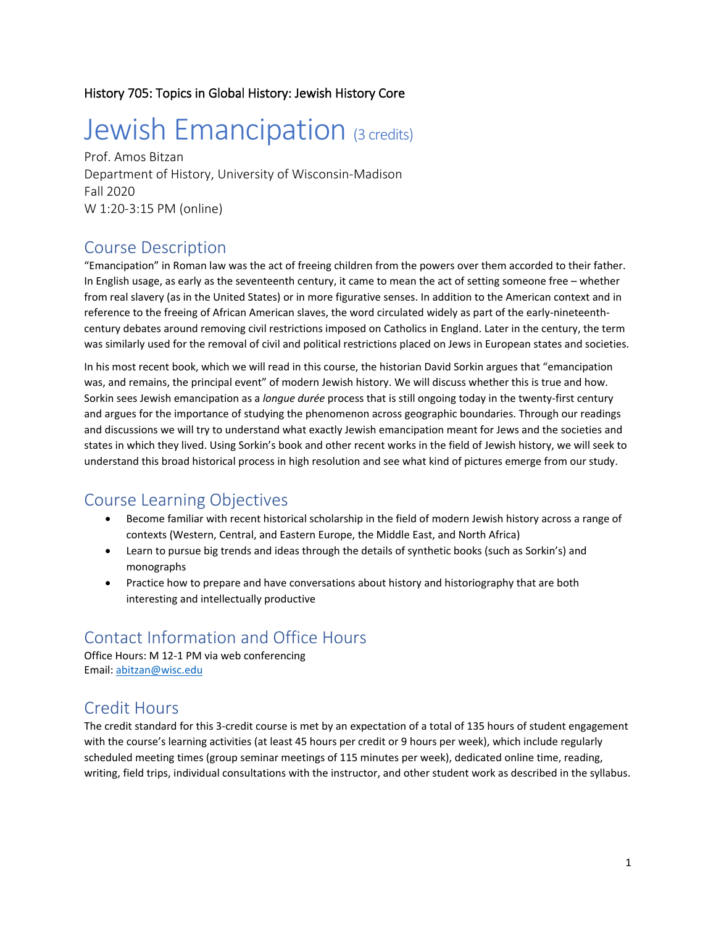#### History 705: Topics in Global History: Jewish History Core

# Jewish Emancipation (3 credits)

Prof. Amos Bitzan Department of History, University of Wisconsin-Madison Fall 2020 W 1:20-3:15 PM (online)

#### Course Description

"Emancipation" in Roman law was the act of freeing children from the powers over them accorded to their father. In English usage, as early as the seventeenth century, it came to mean the act of setting someone free – whether from real slavery (as in the United States) or in more figurative senses. In addition to the American context and in reference to the freeing of African American slaves, the word circulated widely as part of the early-nineteenthcentury debates around removing civil restrictions imposed on Catholics in England. Later in the century, the term was similarly used for the removal of civil and political restrictions placed on Jews in European states and societies.

In his most recent book, which we will read in this course, the historian David Sorkin argues that "emancipation was, and remains, the principal event" of modern Jewish history. We will discuss whether this is true and how. Sorkin sees Jewish emancipation as a *longue durée* process that is still ongoing today in the twenty-first century and argues for the importance of studying the phenomenon across geographic boundaries. Through our readings and discussions we will try to understand what exactly Jewish emancipation meant for Jews and the societies and states in which they lived. Using Sorkin's book and other recent works in the field of Jewish history, we will seek to understand this broad historical process in high resolution and see what kind of pictures emerge from our study.

# Course Learning Objectives

- Become familiar with recent historical scholarship in the field of modern Jewish history across a range of contexts (Western, Central, and Eastern Europe, the Middle East, and North Africa)
- Learn to pursue big trends and ideas through the details of synthetic books (such as Sorkin's) and monographs
- Practice how to prepare and have conversations about history and historiography that are both interesting and intellectually productive

# Contact Information and Office Hours

Office Hours: M 12-1 PM via web conferencing Email: [abitzan@wisc.edu](mailto:abitzan@wisc.edu)

### Credit Hours

The credit standard for this 3-credit course is met by an expectation of a total of 135 hours of student engagement with the course's learning activities (at least 45 hours per credit or 9 hours per week), which include regularly scheduled meeting times (group seminar meetings of 115 minutes per week), dedicated online time, reading, writing, field trips, individual consultations with the instructor, and other student work as described in the syllabus.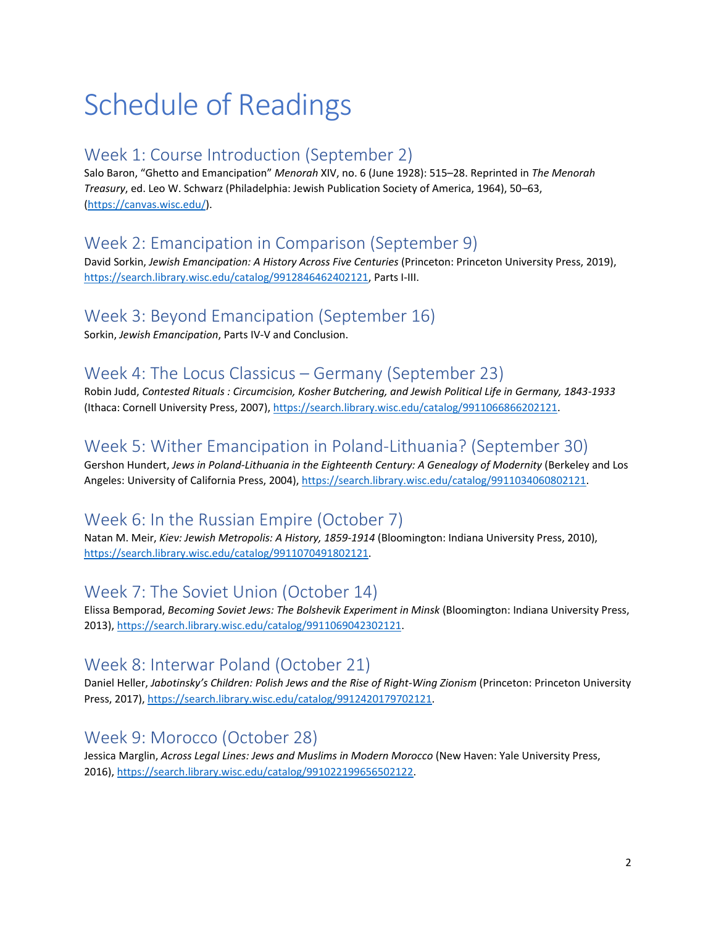# Schedule of Readings

## Week 1: Course Introduction (September 2)

Salo Baron, "Ghetto and Emancipation" *Menorah* XIV, no. 6 (June 1928): 515–28. Reprinted in *The Menorah Treasury*, ed. Leo W. Schwarz (Philadelphia: Jewish Publication Society of America, 1964), 50–63, [\(https://canvas.wisc.edu/\)](https://canvas.wisc.edu/).

# Week 2: Emancipation in Comparison (September 9)

David Sorkin, *Jewish Emancipation: A History Across Five Centuries* (Princeton: Princeton University Press, 2019), [https://search.library.wisc.edu/catalog/9912846462402121,](https://search.library.wisc.edu/catalog/9912846462402121) Parts I-III.

### Week 3: Beyond Emancipation (September 16)

Sorkin, *Jewish Emancipation*, Parts IV-V and Conclusion.

### Week 4: The Locus Classicus – Germany (September 23)

Robin Judd, *Contested Rituals : Circumcision, Kosher Butchering, and Jewish Political Life in Germany, 1843-1933* (Ithaca: Cornell University Press, 2007)[, https://search.library.wisc.edu/catalog/9911066866202121.](https://search.library.wisc.edu/catalog/9911066866202121)

# Week 5: Wither Emancipation in Poland-Lithuania? (September 30)

Gershon Hundert, *Jews in Poland-Lithuania in the Eighteenth Century: A Genealogy of Modernity* (Berkeley and Los Angeles: University of California Press, 2004), [https://search.library.wisc.edu/catalog/9911034060802121.](https://search.library.wisc.edu/catalog/9911034060802121)

# Week 6: In the Russian Empire (October 7)

Natan M. Meir, *Kiev: Jewish Metropolis: A History, 1859-1914* (Bloomington: Indiana University Press, 2010), [https://search.library.wisc.edu/catalog/9911070491802121.](https://search.library.wisc.edu/catalog/9911070491802121)

# Week 7: The Soviet Union (October 14)

Elissa Bemporad, *Becoming Soviet Jews: The Bolshevik Experiment in Minsk* (Bloomington: Indiana University Press, 2013), [https://search.library.wisc.edu/catalog/9911069042302121.](https://search.library.wisc.edu/catalog/9911069042302121)

# Week 8: Interwar Poland (October 21)

Daniel Heller, *Jabotinsky's Children: Polish Jews and the Rise of Right-Wing Zionism* (Princeton: Princeton University Press, 2017)[, https://search.library.wisc.edu/catalog/9912420179702121.](https://search.library.wisc.edu/catalog/9912420179702121)

# Week 9: Morocco (October 28)

Jessica Marglin, *Across Legal Lines: Jews and Muslims in Modern Morocco* (New Haven: Yale University Press, 2016), [https://search.library.wisc.edu/catalog/991022199656502122.](https://search.library.wisc.edu/catalog/991022199656502122)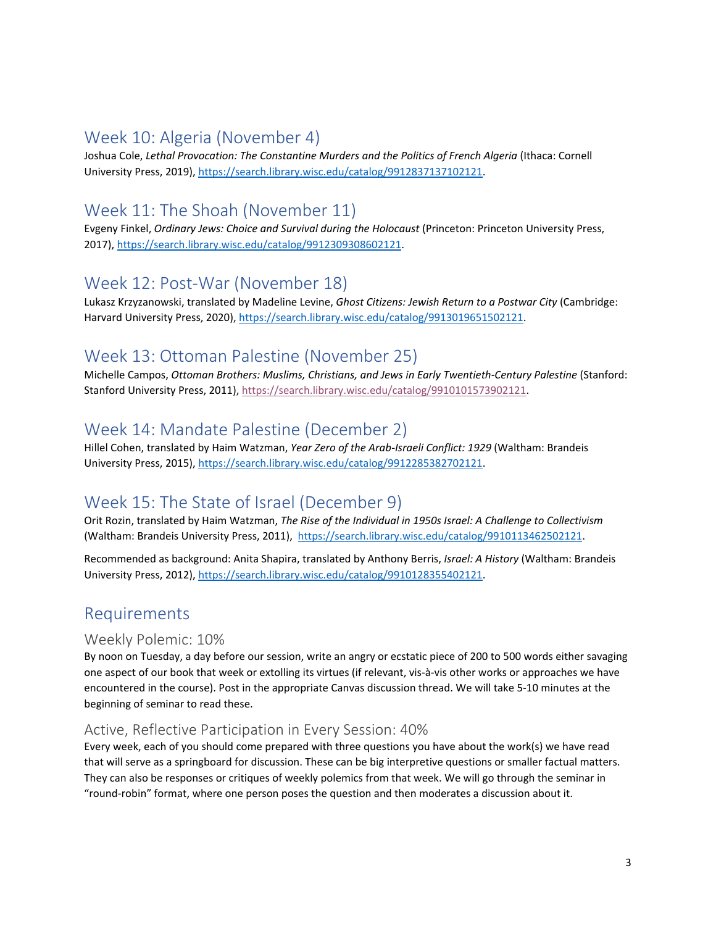#### Week 10: Algeria (November 4)

Joshua Cole, *Lethal Provocation: The Constantine Murders and the Politics of French Algeria* (Ithaca: Cornell University Press, 2019)[, https://search.library.wisc.edu/catalog/9912837137102121.](https://search.library.wisc.edu/catalog/9912837137102121)

### Week 11: The Shoah (November 11)

Evgeny Finkel, *Ordinary Jews: Choice and Survival during the Holocaust* (Princeton: Princeton University Press, 2017), [https://search.library.wisc.edu/catalog/9912309308602121.](https://search.library.wisc.edu/catalog/9912309308602121)

## Week 12: Post-War (November 18)

Lukasz Krzyzanowski, translated by Madeline Levine, *Ghost Citizens: Jewish Return to a Postwar City* (Cambridge: Harvard University Press, 2020)[, https://search.library.wisc.edu/catalog/9913019651502121.](https://search.library.wisc.edu/catalog/9913019651502121)

# Week 13: Ottoman Palestine (November 25)

Michelle Campos, *Ottoman Brothers: Muslims, Christians, and Jews in Early Twentieth-Century Palestine* (Stanford: Stanford University Press, 2011), [https://search.library.wisc.edu/catalog/9910101573902121.](https://search.library.wisc.edu/catalog/9910101573902121)

## Week 14: Mandate Palestine (December 2)

Hillel Cohen, translated by Haim Watzman, *Year Zero of the Arab-Israeli Conflict: 1929* (Waltham: Brandeis University Press, 2015), [https://search.library.wisc.edu/catalog/9912285382702121.](https://search.library.wisc.edu/catalog/9912285382702121)

### Week 15: The State of Israel (December 9)

Orit Rozin, translated by Haim Watzman, *The Rise of the Individual in 1950s Israel: A Challenge to Collectivism* (Waltham: Brandeis University Press, 2011), [https://search.library.wisc.edu/catalog/9910113462502121.](https://search.library.wisc.edu/catalog/9910113462502121)

Recommended as background: Anita Shapira, translated by Anthony Berris, *Israel: A History* (Waltham: Brandeis University Press, 2012)[, https://search.library.wisc.edu/catalog/9910128355402121.](https://search.library.wisc.edu/catalog/9910128355402121)

#### Requirements

#### Weekly Polemic: 10%

By noon on Tuesday, a day before our session, write an angry or ecstatic piece of 200 to 500 words either savaging one aspect of our book that week or extolling its virtues (if relevant, vis-à-vis other works or approaches we have encountered in the course). Post in the appropriate Canvas discussion thread. We will take 5-10 minutes at the beginning of seminar to read these.

#### Active, Reflective Participation in Every Session: 40%

Every week, each of you should come prepared with three questions you have about the work(s) we have read that will serve as a springboard for discussion. These can be big interpretive questions or smaller factual matters. They can also be responses or critiques of weekly polemics from that week. We will go through the seminar in "round-robin" format, where one person poses the question and then moderates a discussion about it.